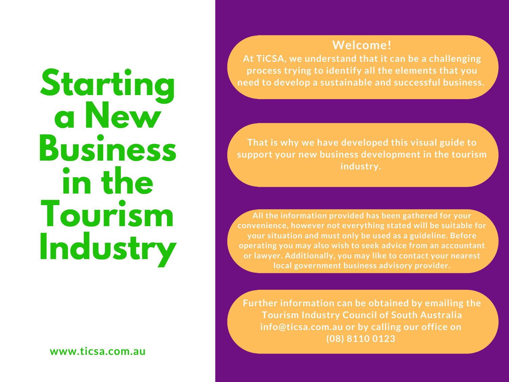# **Starting a New Business in the Tourism Industry**

**www.ticsa.com.au**

#### **Welcome!**

**At TiCSA, we understand that it can be a challenging process trying to identify all the elements that you need to develop a sustainable and successful business.**

**That is why we have developed this visual guide to support your new business development in the tourism industry.**

**All the information provided has been gathered for your convenience, however not everything stated will be suitable for your situation and must only be used as a guideline. Before operating you may also wish to seek advice from an accountant or lawyer. Additionally, you may like to contact your nearest local government business advisory provider.**

**Further information can be obtained by emailing the Tourism Industry Council of South Australia info@ticsa.com.au or by calling our office on (08) 8110 0123**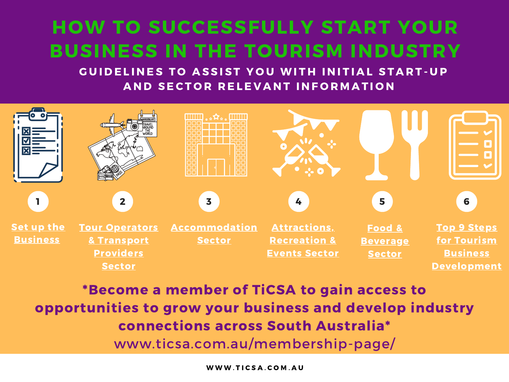### HOW TO SUCCESSFULLY START YOUR BUSINESS IN THE TOURISM INDUSTRY

GUIDELINES TO ASSIST YOU WITH INITIAL START-UP AND SECTOR RELEVANT INFORMATION



\*Become a member of TiCSA to gain access to opportunities to grow your business and develop industry connections across South Australia\* www.ticsa.com.au/membership-page/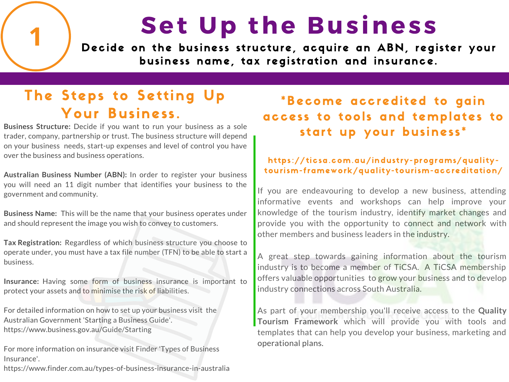# Set Up the Business

Decide on the business structure, acquire an ABN, register your business name, tax registration and insurance.

### The Steps to Setting Up Your Business.

**Business Structure:** Decide if you want to run your business as a sole trader, company, partnership or trust. The business structure will depend on your business needs, start-up expenses and level of control you have over the business and business operations.

**Australian Business Number (ABN):** In order to register your business you will need an 11 digit number that identifies your business to the government and community.

**Business Name:** This will be the name that your business operates under and should represent the image you wish to convey to customers.

**Tax Registration:** Regardless of which business structure you choose to operate under, you must have a tax file number (TFN) to be able to start a business.

**Insurance:** Having some form of business insurance is important to protect your assets and to minimise the risk of liabilities.

For detailed information on how to set up your business visit the Australian Government 'Starting a Business Guide'. https://www.business.gov.au/Guide/Starting

For more information on insurance visit Finder 'Types of Business Insurance'.

https://www.finder.com.au/types-of-business-insurance-in-australia

#### \*Become accredited to gain access to tools and templates to start up your business\*

#### https://ticsa.com.au/industry-programs/qualitytourism-framework/quality-tourism-accreditation/

If you are endeavouring to develop a new business, attending informative events and workshops can help improve your knowledge of the tourism industry, identify market changes and provide you with the opportunity to connect and network with other members and business leaders in the industry.

A great step towards gaining information about the tourism industry is to become a member of TiCSA. A TiCSA membership offers valuable opportunities to grow your business and to develop industry connections across South Australia.

As part of your membership you'll receive access to the **Quality Tourism Framework** which will provide you with tools and templates that can help you develop your business, marketing and operational plans.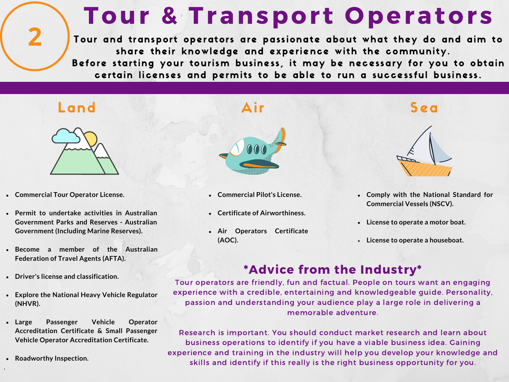## **Tour & Transport Operators**

Tour and transport operators are passionate about what they do and aim to share their knowledge and experience with the community.

Before starting your tourism business, it may be necessary for you to obtain certain licenses and permits to be able to run a successful business.

 $\overline{\mathbf{2}}$ 



- **Commercial Tour Operator License.**
- **Permit to undertake activities in Australian Government Parks and Reserves - Australian Government (Including Marine Reserves).**
- **Become a member of the Australian Federation of Travel Agents (AFTA).**
- **Driver's license and classification.**
- **Explore the National Heavy Vehicle Regulator (NHVR).**
- **Large Passenger Vehicle Operator Accreditation Certificate & Small Passenger Vehicle Operator Accreditation Certificate.**
- **Roadworthy Inspection.**

.



- **Commercial Pilot's License.**
- **Certificate of Airworthiness.**
- **Air Operators Certificate (AOC).**

- **Comply with the National Standard for Commercial Vessels (NSCV).**
- **License to operate a motor boat.**
- **License to operate a houseboat.**

#### \*Advice from the Industry\*

Tour operators are friendly, fun and factual. People on tours want an engaging experience with a credible, entertaining and knowledgeable guide. Personality, passion and understanding your audience play a large role in delivering a memorable adventure.

Research is important. You should conduct market research and learn about business operations to identify if you have a viable business idea. Gaining experience and training in the industry will help you develop your knowledge and skills and identify if this really is the right business opportunity for you.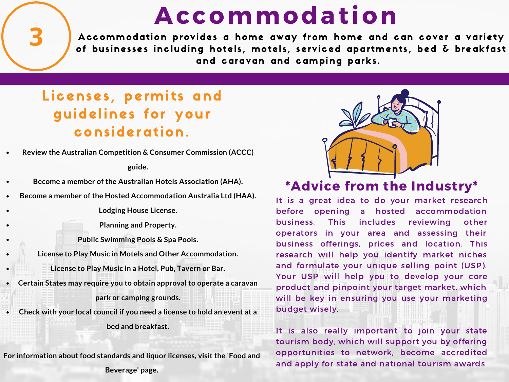### **Accommodation**

Accommodation provides a home away from home and can cover a variety of businesses including hotels, motels, serviced apartments, bed  $\delta$  breakfast and caravan and camping parks.

### Licenses, permits and guidelines for your cons ideration.

**Review the Australian Competition & Consumer Commission (ACCC)**

**guide.**

- **Become a member of the Australian Hotels Association (AHA).**
- **Become a member of the Hosted Accommodation Australia Ltd (HAA).**

**Lodging House License.**

**Planning and Property.**

**Public Swimming Pools & Spa Pools.**

- **License to Play Music in Motels and Other Accommodation.**
	- **License to Play Music in a Hotel, Pub, Tavern or Bar.**
- **Certain States may require you to obtain approval to operate a caravan park or camping grounds.**
- **Check with your local council if you need a license to hold an event at a bed and breakfast.**

**For information about food standards and liquor licenses, visit the 'Food and Beverage' page.**



#### \*Advice from the Industry\*

It is a great idea to do your market research before opening a hosted accommodation business. This includes reviewing other operators in your area and assessing their business offerings, prices and location. This research will help you identify market niches and formulate your unique selling point (USP). Your USP will help you to develop your core product and pinpoint your target market, which will be key in ensuring you use your marketing budget wisely.

It is also really important to join your state tourism body, which will support you by offering opportunities to network, become accredited and apply for state and national tourism awards.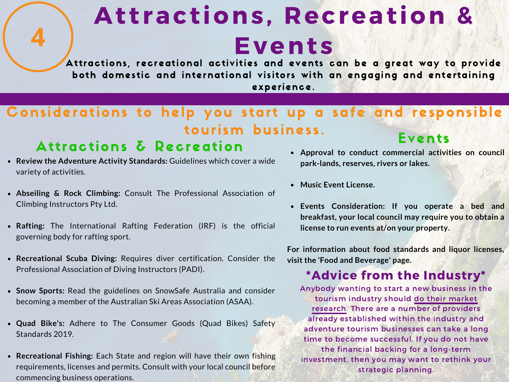# Attractions, Recreation & Events

Attractions, recreational activities and events can be a great way to provide both domestic and international visitors with an engaging and entertaining experience.

#### Events Courts business.<br>Attractions δ Recreation Considerations to help you start up a safe and responsible tourism business.

- **Review the Adventure Activity Standards:** Guidelines which cover a wide variety of activities.
- **Abseiling & Rock Climbing:** Consult The Professional Association of Climbing Instructors Pty Ltd.
- **Rafting:** The International Rafting Federation (IRF) is the official governing body for rafting sport.
- **Recreational Scuba Diving:** Requires diver certification. Consider the Professional Association of Diving Instructors (PADI).
- **Snow Sports:** Read the guidelines on SnowSafe Australia and consider becoming a member of the Australian Ski Areas Association (ASAA).
- **Quad Bike's:** Adhere to The Consumer Goods (Quad Bikes) Safety Standards 2019.
- **Recreational Fishing:** Each State and region will have their own fishing requirements, licenses and permits. Consult with your local council before commencing business operations.
- **Approval to conduct commercial activities on council park-lands, reserves, rivers or lakes.**
- **Music Event License.**
- **Events Consideration: If you operate a bed and breakfast, your local council may require you to obtain a license to run events at/on your property.**

**For information about food standards and liquor licenses, visit the 'Food and Beverage' page.**

#### \*Advice from the Industry\*

Anybody wanting to start a new business in the tourism industry should do their market research. There are a number of providers already established within the industry and adventure tourism businesses can take a long time to become successful. If you do not have the financial backing for a long-term investment, then you may want to rethink your strategic planning.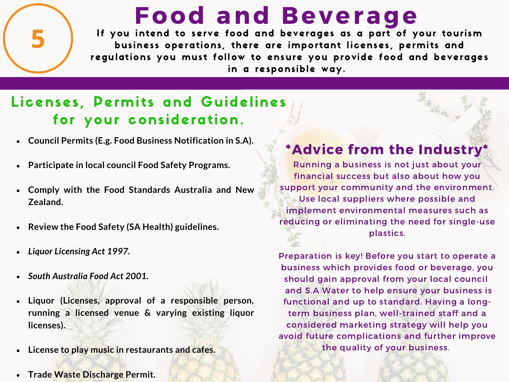If you intend to serve food and beverages as a part of your tourism business operations, there are important licenses, permits and regulations you must follow to ensure you provide food and beverages in a responsible way. Food and Beverage

#### Licenses, Permits and Guidelines for your consideration.

- **Council Permits (E.g. Food Business Notification in S.A).**
- **Participate in local council Food Safety Programs.**  $\bullet$
- **Comply with the Food Standards Australia and New**  $\bullet$ **Zealand.**
- **Review the Food Safety (SA Health) guidelines.**  $\bullet$
- *Liquor Licensing Act 1997.*  $\bullet$
- *South Australia Food Act 2001.*
- **Liquor (Licenses, approval of a responsible person,**  $\bullet$ **running a licensed venue & varying existing liquor licenses).**
- **License to play music in restaurants and cafes.**  $\bullet$
- **Trade Waste Discharge Permit.**

#### \*Advice from the Industry\*

Running a business is not just about your financial success but also about how you support your community and the environment. Use local suppliers where possible and implement environmental measures such as reducing or eliminating the need for single-use plastics.

Preparation is key! Before you start to operate a business which provides food or beverage, you should gain approval from your local council and S.A Water to help ensure your business is functional and up to standard. Having a longterm business plan, well-trained staff and a considered marketing strategy will help you avoid future complications and further improve the quality of your business.